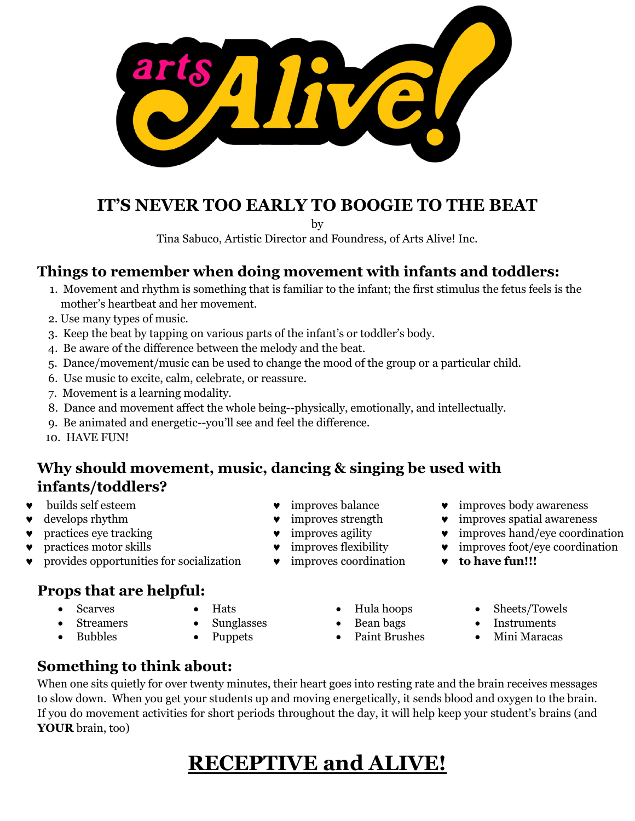

## **IT'S NEVER TOO EARLY TO BOOGIE TO THE BEAT**

by

Tina Sabuco, Artistic Director and Foundress, of Arts Alive! Inc.

## **Things to remember when doing movement with infants and toddlers:**

- 1. Movement and rhythm is something that is familiar to the infant; the first stimulus the fetus feels is the mother's heartbeat and her movement.
- 2. Use many types of music.
- 3. Keep the beat by tapping on various parts of the infant's or toddler's body.
- 4. Be aware of the difference between the melody and the beat.
- 5. Dance/movement/music can be used to change the mood of the group or a particular child.
- 6. Use music to excite, calm, celebrate, or reassure.
- 7. Movement is a learning modality.
- 8. Dance and movement affect the whole being--physically, emotionally, and intellectually.
- 9. Be animated and energetic--you'll see and feel the difference.
- 10. HAVE FUN!

## **Why should movement, music, dancing & singing be used with infants/toddlers?**

- 
- 
- 
- 
- provides opportunities for socialization improves coordination **to have fun!!!**

## **Props that are helpful:**

- **Scarves Streamers**
- Hats
- **Sunglasses**
- Hula hoops
- 
- Bubbles
- Puppets
- Bean bags
- Paint Brushes
- builds self esteem ● improves balance ● improves body awareness
- ♥ develops rhythm ♥ improves strength ♥ improves spatial awareness
	- $\bullet$  improves agility  $\bullet$  improves  $\bullet$  improves hand/eye coordination
	- $\bullet$  improves flexibility  $\bullet$  improves foot/eye coordination
		- - Sheets/Towels
			- Instruments
			- Mini Maracas

**Something to think about:**

When one sits quietly for over twenty minutes, their heart goes into resting rate and the brain receives messages to slow down. When you get your students up and moving energetically, it sends blood and oxygen to the brain. If you do movement activities for short periods throughout the day, it will help keep your student's brains (and **YOUR** brain, too)

# **RECEPTIVE and ALIVE!**

- 
- 
-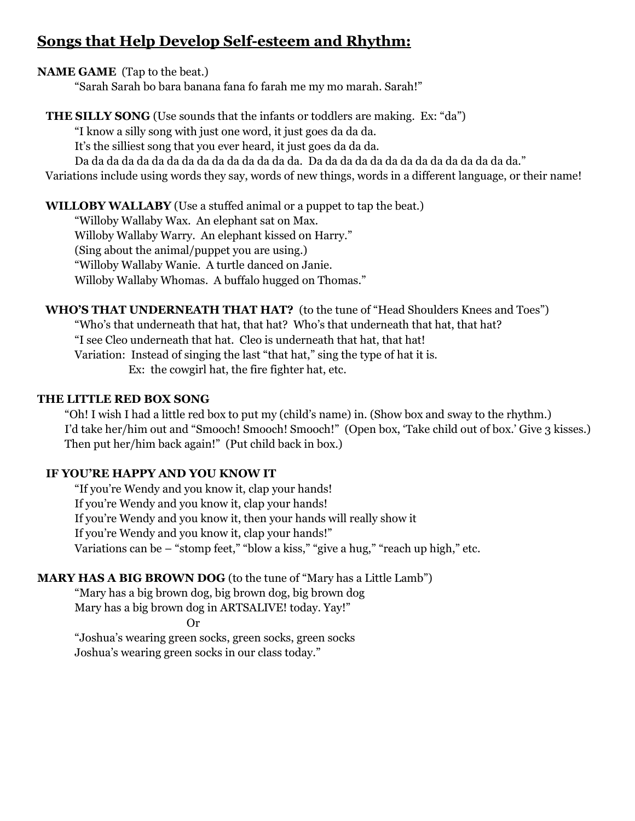## **Songs that Help Develop Self-esteem and Rhythm:**

#### **NAME GAME** (Tap to the beat.)

"Sarah Sarah bo bara banana fana fo farah me my mo marah. Sarah!"

### **THE SILLY SONG** (Use sounds that the infants or toddlers are making. Ex: "da")

"I know a silly song with just one word, it just goes da da da.

It's the silliest song that you ever heard, it just goes da da da.

Da da da da da da da da da da da da da da da. Da da da da da da da da da da da da da da."

Variations include using words they say, words of new things, words in a different language, or their name!

#### **WILLOBY WALLABY** (Use a stuffed animal or a puppet to tap the beat.)

"Willoby Wallaby Wax. An elephant sat on Max. Willoby Wallaby Warry. An elephant kissed on Harry." (Sing about the animal/puppet you are using.) "Willoby Wallaby Wanie. A turtle danced on Janie. Willoby Wallaby Whomas. A buffalo hugged on Thomas."

 **WHO'S THAT UNDERNEATH THAT HAT?** (to the tune of "Head Shoulders Knees and Toes") "Who's that underneath that hat, that hat? Who's that underneath that hat, that hat? "I see Cleo underneath that hat. Cleo is underneath that hat, that hat! Variation: Instead of singing the last "that hat," sing the type of hat it is. Ex: the cowgirl hat, the fire fighter hat, etc.

#### **THE LITTLE RED BOX SONG**

 "Oh! I wish I had a little red box to put my (child's name) in. (Show box and sway to the rhythm.) I'd take her/him out and "Smooch! Smooch! Smooch!" (Open box, 'Take child out of box.' Give 3 kisses.) Then put her/him back again!" (Put child back in box.)

#### **IF YOU'RE HAPPY AND YOU KNOW IT**

"If you're Wendy and you know it, clap your hands! If you're Wendy and you know it, clap your hands! If you're Wendy and you know it, then your hands will really show it If you're Wendy and you know it, clap your hands!" Variations can be – "stomp feet," "blow a kiss," "give a hug," "reach up high," etc.

#### **MARY HAS A BIG BROWN DOG** (to the tune of "Mary has a Little Lamb")

"Mary has a big brown dog, big brown dog, big brown dog Mary has a big brown dog in ARTSALIVE! today. Yay!"

Or

"Joshua's wearing green socks, green socks, green socks Joshua's wearing green socks in our class today."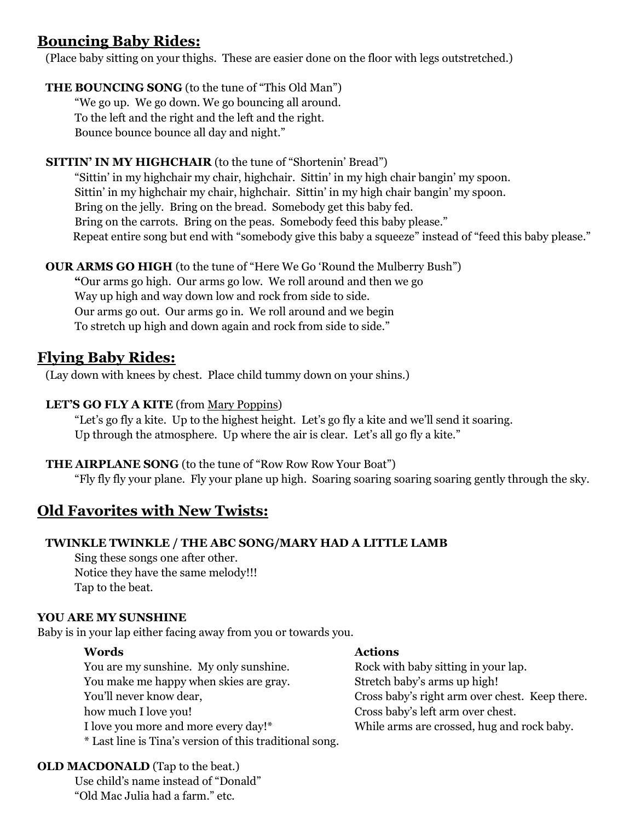## **Bouncing Baby Rides:**

(Place baby sitting on your thighs. These are easier done on the floor with legs outstretched.)

### **THE BOUNCING SONG** (to the tune of "This Old Man")

"We go up. We go down. We go bouncing all around. To the left and the right and the left and the right. Bounce bounce bounce all day and night."

### **SITTIN' IN MY HIGHCHAIR** (to the tune of "Shortenin' Bread")

"Sittin' in my highchair my chair, highchair. Sittin' in my high chair bangin' my spoon. Sittin' in my highchair my chair, highchair. Sittin' in my high chair bangin' my spoon. Bring on the jelly. Bring on the bread. Somebody get this baby fed. Bring on the carrots. Bring on the peas. Somebody feed this baby please." Repeat entire song but end with "somebody give this baby a squeeze" instead of "feed this baby please."

### **OUR ARMS GO HIGH** (to the tune of "Here We Go 'Round the Mulberry Bush")

**"**Our arms go high. Our arms go low. We roll around and then we go Way up high and way down low and rock from side to side. Our arms go out. Our arms go in. We roll around and we begin To stretch up high and down again and rock from side to side."

## **Flying Baby Rides:**

(Lay down with knees by chest. Place child tummy down on your shins.)

### LET'S GO FLY A KITE (from Mary Poppins)

"Let's go fly a kite. Up to the highest height. Let's go fly a kite and we'll send it soaring. Up through the atmosphere. Up where the air is clear. Let's all go fly a kite."

### **THE AIRPLANE SONG** (to the tune of "Row Row Row Your Boat")

"Fly fly fly your plane. Fly your plane up high. Soaring soaring soaring soaring gently through the sky.

## **Old Favorites with New Twists:**

### **TWINKLE TWINKLE / THE ABC SONG/MARY HAD A LITTLE LAMB**

Sing these songs one after other. Notice they have the same melody!!! Tap to the beat.

#### **YOU ARE MY SUNSHINE**

Baby is in your lap either facing away from you or towards you.

#### **Words**

You are my sunshine. My only sunshine. You make me happy when skies are gray. You'll never know dear, how much I love you! I love you more and more every day!\* \* Last line is Tina's version of this traditional song.

#### **OLD MACDONALD** (Tap to the beat.)

Use child's name instead of "Donald" "Old Mac Julia had a farm." etc.

#### **Actions**

Rock with baby sitting in your lap. Stretch baby's arms up high! Cross baby's right arm over chest. Keep there. Cross baby's left arm over chest. While arms are crossed, hug and rock baby.